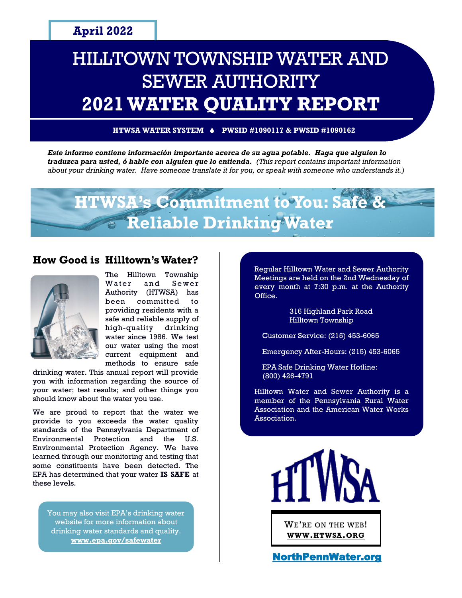# HILLTOWN TOWNSHIP WATER AND SEWER AUTHORITY **2021 WATER QUALITY REPORT**

**HTWSA WATER SYSTEM PWSID #1090117 & PWSID #1090162**

*Este informe contiene información importante acerca de su agua potable. Haga que alguien lo traduzca para usted, ó hable con alguien que lo entienda. (This report contains important information about your drinking water. Have someone translate it for you, or speak with someone who understands it.)*



#### **How Good is Hilltown's Water?**



The Hilltown Township Water and Sewer Authority (HTWSA) has been committed to providing residents with a safe and reliable supply of high-quality drinking water since 1986. We test our water using the most current equipment and methods to ensure safe

drinking water. This annual report will provide you with information regarding the source of your water; test results; and other things you should know about the water you use.

We are proud to report that the water we provide to you exceeds the water quality standards of the Pennsylvania Department of Environmental Protection and the U.S. Environmental Protection Agency. We have learned through our monitoring and testing that some constituents have been detected. The EPA has determined that your water **IS SAFE** at these levels.

You may also visit EPA's drinking water website for more information about drinking water standards and quality. **[www.epa.gov/safewater](http://www.epa.gov/safewater)**

Regular Hilltown Water and Sewer Authority Meetings are held on the 2nd Wednesday of every month at 7:30 p.m. at the Authority Office.

> 316 Highland Park Road Hilltown Township

Customer Service: (215) 453-6065

Emergency After-Hours: (215) 453-6065

EPA Safe Drinking Water Hotline: (800) 426-4791

Hilltown Water and Sewer Authority is a member of the Pennsylvania Rural Water Association and the American Water Works Association.



WE'RE ON THE WEB! **WWW.[HTWSA](http://www.htwsa.org).ORG**

[NorthPennWater.org](http://www.NorthPennWater.org)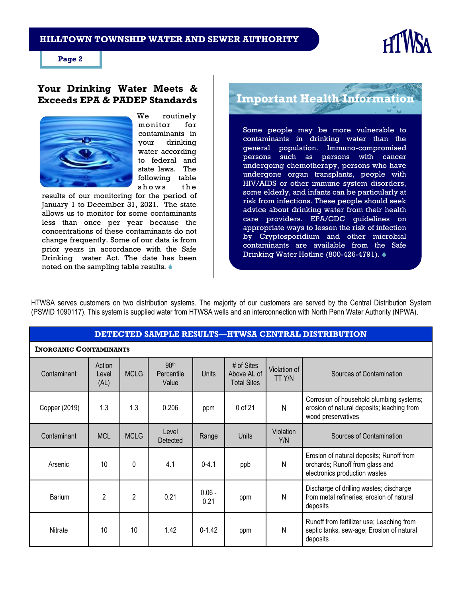#### **HILLTOWN TOWNSHIP WATER AND SEWER AUTHORITY**



**Page 2**

#### **Your Drinking Water Meets & Exceeds EPA & PADEP Standards**



We routinely monitor for contaminants in your drinking water according to federal and state laws. The following table shows the

results of our monitoring for the period of January 1 to December 31, 2021. The state allows us to monitor for some contaminants less than once per year because the concentrations of these contaminants do not change frequently. Some of our data is from prior years in accordance with the Safe Drinking water Act. The date has been noted on the sampling table results.

**Important Health Information**

Some people may be more vulnerable to contaminants in drinking water than the general population. Immuno-compromised persons such as persons with cancer undergoing chemotherapy, persons who have undergone organ transplants, people with HIV/AIDS or other immune system disorders, some elderly, and infants can be particularly at risk from infections. These people should seek advice about drinking water from their health care providers. EPA/CDC guidelines on appropriate ways to lessen the risk of infection by Cryptosporidium and other microbial contaminants are available from the Safe Drinking Water Hotline (800-426-4791). ♦

HTWSA serves customers on two distribution systems. The majority of our customers are served by the Central Distribution System (PSWID 1090117). This system is supplied water from HTWSA wells and an interconnection with North Penn Water Authority (NPWA).

#### **DETECTED SAMPLE RESULTS—HTWSA CENTRAL DISTRIBUTION**

| <b>INORGANIC CONTAMINANTS</b> |                         |                |                                         |                  |                                                 |                        |                                                                                                              |  |
|-------------------------------|-------------------------|----------------|-----------------------------------------|------------------|-------------------------------------------------|------------------------|--------------------------------------------------------------------------------------------------------------|--|
| Contaminant                   | Action<br>Level<br>(AL) | <b>MCLG</b>    | 90 <sup>th</sup><br>Percentile<br>Value | Units            | # of Sites<br>Above AL of<br><b>Total Sites</b> | Violation of<br>TT Y/N | Sources of Contamination                                                                                     |  |
| Copper (2019)                 | 1.3                     | 1.3            | 0.206                                   | ppm              | 0 of 21                                         | N                      | Corrosion of household plumbing systems;<br>erosion of natural deposits; leaching from<br>wood preservatives |  |
| Contaminant                   | <b>MCL</b>              | <b>MCLG</b>    | Level<br><b>Detected</b>                | Range            | Units                                           | Violation<br>Y/N       | Sources of Contamination                                                                                     |  |
| Arsenic                       | 10                      | 0              | 4.1                                     | $0 - 4.1$        | ppb                                             | N                      | Erosion of natural deposits; Runoff from<br>orchards; Runoff from glass and<br>electronics production wastes |  |
| Barium                        | $\overline{2}$          | $\overline{2}$ | 0.21                                    | $0.06 -$<br>0.21 | ppm                                             | N                      | Discharge of drilling wastes; discharge<br>from metal refineries; erosion of natural<br>deposits             |  |
| Nitrate                       | 10                      | 10             | 1.42                                    | $0 - 1.42$       | ppm                                             | N                      | Runoff from fertilizer use; Leaching from<br>septic tanks, sew-age; Erosion of natural<br>deposits           |  |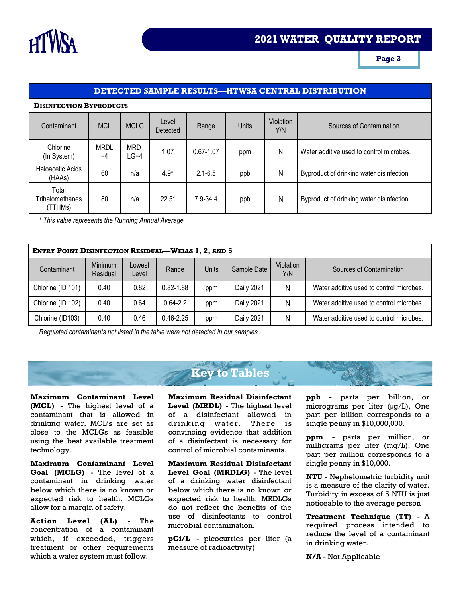

**Page 3**

#### **DETECTED SAMPLE RESULTS—HTWSA CENTRAL DISTRIBUTION**

#### **DISINFECTION BYPRODUCTS**

| Contaminant                         | <b>MCL</b>          | <b>MCLG</b>    | Level<br>Detected | Range        | Units | Violation<br>Y/N | Sources of Contamination                 |
|-------------------------------------|---------------------|----------------|-------------------|--------------|-------|------------------|------------------------------------------|
| Chlorine<br>(In System)             | <b>MRDL</b><br>$=4$ | MRD-<br>$LG=4$ | 1.07              | 0.67-1.07    | ppm   | N                | Water additive used to control microbes. |
| Haloacetic Acids<br>(HAAs)          | 60                  | n/a            | $4.9*$            | $2.1 - 6.5$  | ppb   | N                | Byproduct of drinking water disinfection |
| Total<br>Trihalomethanes<br>(TTHMs) | 80                  | n/a            | $22.5*$           | $7.9 - 34.4$ | ppb   | N                | Byproduct of drinking water disinfection |

*\* This value represents the Running Annual Average*

| <b>ENTRY POINT DISINFECTION RESIDUAL-WELLS 1, 2, AND 5</b> |                     |                 |               |       |             |                  |                                          |  |  |
|------------------------------------------------------------|---------------------|-----------------|---------------|-------|-------------|------------------|------------------------------------------|--|--|
| Contaminant                                                | Minimum<br>Residual | Lowest<br>Level | Range         | Units | Sample Date | Violation<br>Y/N | Sources of Contamination                 |  |  |
| Chlorine (ID 101)                                          | 0.40                | 0.82            | $0.82 - 1.88$ | ppm   | Daily 2021  | Ν                | Water additive used to control microbes. |  |  |
| Chlorine (ID 102)                                          | 0.40                | 0.64            | $0.64 - 2.2$  | ppm   | Daily 2021  | N                | Water additive used to control microbes. |  |  |
| Chlorine (ID103)                                           | 0.40                | 0.46            | $0.46 - 2.25$ | ppm   | Daily 2021  | Ν                | Water additive used to control microbes. |  |  |

*Regulated contaminants not listed in the table were not detected in our samples.*

# **Key to Tables**

**Maximum Contaminant Level (MCL)** - The highest level of a contaminant that is allowed in drinking water. MCL's are set as close to the MCLGs as feasible using the best available treatment technology.

**Maximum Contaminant Level Goal (MCLG)** - The level of a contaminant in drinking water below which there is no known or expected risk to health. MCLGs allow for a margin of safety.

**Action Level (AL)** - The concentration of a contaminant which, if exceeded, triggers treatment or other requirements which a water system must follow.

**Maximum Residual Disinfectant Level (MRDL)** - The highest level of a disinfectant allowed in drinking water. There is convincing evidence that addition of a disinfectant is necessary for control of microbial contaminants.

**Maximum Residual Disinfectant Level Goal (MRDLG)** - The level of a drinking water disinfectant below which there is no known or expected risk to health. MRDLGs do not reflect the benefits of the use of disinfectants to control microbial contamination.

**pCi/L** - picocurries per liter (a measure of radioactivity)

**ppb** - parts per billion, or micrograms per liter (μg/L), One part per billion corresponds to a single penny in \$10,000,000.

**ppm** - parts per million, or milligrams per liter (mg/L), One part per million corresponds to a single penny in \$10,000.

**NTU** - Nephelometric turbidity unit is a measure of the clarity of water. Turbidity in excess of 5 NTU is just noticeable to the average person

**Treatment Technique (TT)** - A required process intended to reduce the level of a contaminant in drinking water.

**N/A** - Not Applicable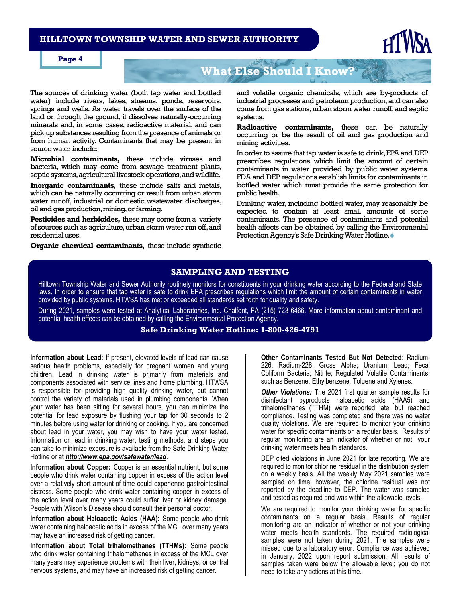#### **HILLTOWN TOWNSHIP WATER AND SEWER AUTHORITY**



#### **Page 4**

### **What Else Should I Know?**

The sources of drinking water (both tap water and bottled water) include rivers, lakes, streams, ponds, reservoirs, springs and wells. As water travels over the surface of the land or through the ground, it dissolves naturally-occurring minerals and, in some cases, radioactive material, and can pick up substances resulting from the presence of animals or from human activity. Contaminants that may be present in source water include:

**Microbial contaminants,** these include viruses and bacteria, which may come from sewage treatment plants, septic systems, agricultural livestock operations, and wildlife.

**Inorganic contaminants,** these include salts and metals, which can be naturally occurring or result from urban storm water runoff, industrial or domestic wastewater discharges, oil and gas production, mining, or farming.

**Pesticides and herbicides,** these may come from a variety of sources such as agriculture, urban storm water run off, and residential uses.

**Organic chemical contaminants,** these include synthetic

and volatile organic chemicals, which are by-products of industrial processes and petroleum production, and can also come from gas stations, urban storm water runoff, and septic systems.

**Radioactive contaminants,** these can be naturally occurring or be the result of oil and gas production and mining activities.

In order to assure that tap water is safe to drink, EPA and DEP prescribes regulations which limit the amount of certain contaminants in water provided by public water systems. FDA and DEP regulations establish limits for contaminants in bottled water which must provide the same protection for public health.

Drinking water, including bottled water, may reasonably be expected to contain at least small amounts of some contaminants. The presence of contaminants and potential health affects can be obtained by calling the Environmental Protection Agency's Safe Drinking Water Hotline.

#### **SAMPLING AND TESTING**

Hilltown Township Water and Sewer Authority routinely monitors for constituents in your drinking water according to the Federal and State laws. In order to ensure that tap water is safe to drink EPA prescribes regulations which limit the amount of certain contaminants in water provided by public systems. HTWSA has met or exceeded all standards set forth for quality and safety.

During 2021, samples were tested at Analytical Laboratories, Inc. Chalfont, PA (215) 723-6466. More information about contaminant and potential health effects can be obtained by calling the Environmental Protection Agency.

#### **Safe Drinking Water Hotline: 1-800-426-4791**

**Information about Lead:** If present, elevated levels of lead can cause serious health problems, especially for pregnant women and young children. Lead in drinking water is primarily from materials and components associated with service lines and home plumbing. HTWSA is responsible for providing high quality drinking water, but cannot control the variety of materials used in plumbing components. When your water has been sitting for several hours, you can minimize the potential for lead exposure by flushing your tap for 30 seconds to 2 minutes before using water for drinking or cooking. If you are concerned about lead in your water, you may wish to have your water tested. Information on lead in drinking water, testing methods, and steps you can take to minimize exposure is available from the Safe Drinking Water Hotline or at *http://www.epa.gov/safewater/lead.* 

**Information about Copper:** Copper is an essential nutrient, but some people who drink water containing copper in excess of the action level over a relatively short amount of time could experience gastrointestinal distress. Some people who drink water containing copper in excess of the action level over many years could suffer liver or kidney damage. People with Wilson's Disease should consult their personal doctor.

**Information about Haloacetic Acids (HAA):** Some people who drink water containing haloacetic acids in excess of the MCL over many years may have an increased risk of getting cancer.

**Information about Total trihalomethanes (TTHMs):** Some people who drink water containing trihalomethanes in excess of the MCL over many years may experience problems with their liver, kidneys, or central nervous systems, and may have an increased risk of getting cancer.

**Other Contaminants Tested But Not Detected:** Radium-226; Radium-228; Gross Alpha; Uranium; Lead; Fecal Coliform Bacteria; Nitrite; Regulated Volatile Contaminants, such as Benzene, Ethylbenzene, Toluene and Xylenes.

*Other Violations:* The 2021 first quarter sample results for disinfectant byproducts haloacetic acids (HAA5) and trihalomethanes (TTHM) were reported late, but reached compliance. Testing was completed and there was no water quality violations. We are required to monitor your drinking water for specific contaminants on a regular basis. Results of regular monitoring are an indicator of whether or not your drinking water meets health standards.

DEP cited violations in June 2021 for late reporting. We are required to monitor chlorine residual in the distribution system on a weekly basis. All the weekly May 2021 samples were sampled on time; however, the chlorine residual was not reported by the deadline to DEP. The water was sampled and tested as required and was within the allowable levels.

We are required to monitor your drinking water for specific contaminants on a regular basis. Results of regular monitoring are an indicator of whether or not your drinking water meets health standards. The required radiological samples were not taken during 2021. The samples were missed due to a laboratory error. Compliance was achieved in January, 2022 upon report submission. All results of samples taken were below the allowable level; you do not need to take any actions at this time.